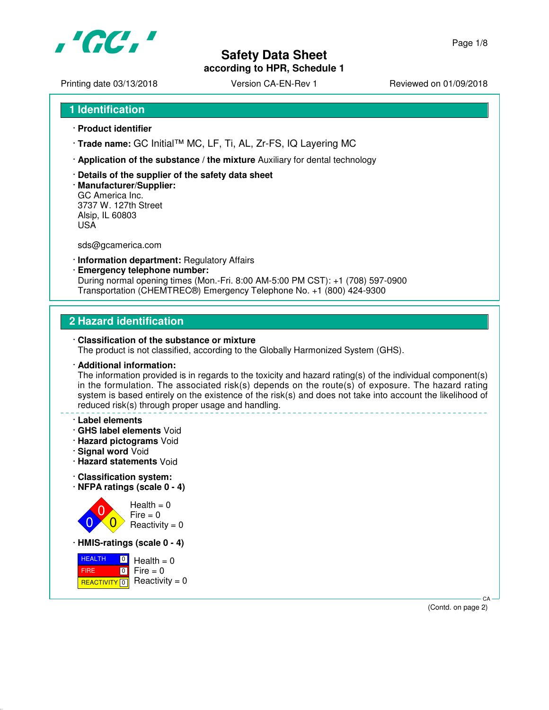

Printing date 03/13/2018 <br>
Version CA-EN-Rev 1 Reviewed on 01/09/2018

```
1 Identification
```
- · **Product identifier**
- · **Trade name:** GC Initial™ MC, LF, Ti, AL, Zr-FS, IQ Layering MC
- · **Application of the substance / the mixture** Auxiliary for dental technology
- · **Details of the supplier of the safety data sheet**
- · **Manufacturer/Supplier:** GC America Inc. 3737 W. 127th Street Alsip, IL 60803 USA

sds@gcamerica.com

- · **Information department:** Regulatory Affairs
- · **Emergency telephone number:** During normal opening times (Mon.-Fri. 8:00 AM-5:00 PM CST): +1 (708) 597-0900 Transportation (CHEMTREC®) Emergency Telephone No. +1 (800) 424-9300

# **2 Hazard identification**

### · **Classification of the substance or mixture**

The product is not classified, according to the Globally Harmonized System (GHS).

### · **Additional information:**

The information provided is in regards to the toxicity and hazard rating(s) of the individual component(s) in the formulation. The associated risk(s) depends on the route(s) of exposure. The hazard rating system is based entirely on the existence of the risk(s) and does not take into account the likelihood of reduced risk(s) through proper usage and handling.

### · **Label elements**

- · **GHS label elements** Void
- · **Hazard pictograms** Void
- · **Signal word** Void
- · **Hazard statements** Void
- · **Classification system:**
- · **NFPA ratings (scale 0 4)**



 $Fire = 0$  $Reactivity = 0$ 

· **HMIS-ratings (scale 0 - 4)**

 HEALTH FIRE <mark>REACTIVITY</mark> 0  $\boxed{0}$  $\boxed{0}$  $Health = 0$  $Fire = 0$  $Reactivity = 0$ 

> CA (Contd. on page 2)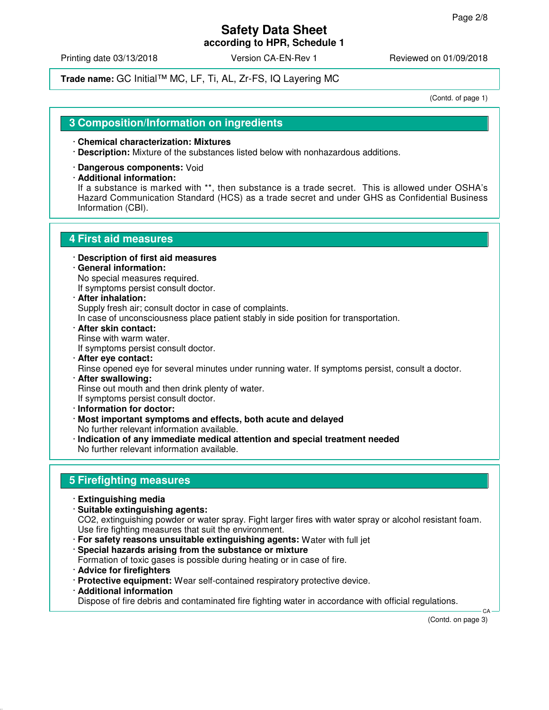# **Safety Data Sheet**

**according to HPR, Schedule 1**

Printing date 03/13/2018 Version CA-EN-Rev 1 Reviewed on 01/09/2018

## **Trade name:** GC Initial™ MC, LF, Ti, AL, Zr-FS, IQ Layering MC

(Contd. of page 1)

### **3 Composition/Information on ingredients**

### · **Chemical characterization: Mixtures**

- · **Description:** Mixture of the substances listed below with nonhazardous additions.
- · **Dangerous components:** Void
- · **Additional information:**

If a substance is marked with \*\*, then substance is a trade secret. This is allowed under OSHA's Hazard Communication Standard (HCS) as a trade secret and under GHS as Confidential Business Information (CBI).

## **4 First aid measures**

- · **Description of first aid measures**
- · **General information:** No special measures required.

If symptoms persist consult doctor.

- · **After inhalation:** Supply fresh air; consult doctor in case of complaints.
- In case of unconsciousness place patient stably in side position for transportation.
- · **After skin contact:** Rinse with warm water. If symptoms persist consult doctor.
- · **After eye contact:** Rinse opened eye for several minutes under running water. If symptoms persist, consult a doctor. · **After swallowing:**

Rinse out mouth and then drink plenty of water.

If symptoms persist consult doctor.

- · **Information for doctor:**
- · **Most important symptoms and effects, both acute and delayed** No further relevant information available.
- · **Indication of any immediate medical attention and special treatment needed** No further relevant information available.

## **5 Firefighting measures**

- · **Extinguishing media**
- · **Suitable extinguishing agents:** CO2, extinguishing powder or water spray. Fight larger fires with water spray or alcohol resistant foam. Use fire fighting measures that suit the environment.
	- · **For safety reasons unsuitable extinguishing agents:** Water with full jet
	- · **Special hazards arising from the substance or mixture** Formation of toxic gases is possible during heating or in case of fire.
	- · **Advice for firefighters**
	- · **Protective equipment:** Wear self-contained respiratory protective device.
	- · **Additional information**

Dispose of fire debris and contaminated fire fighting water in accordance with official regulations.

(Contd. on page 3)

CA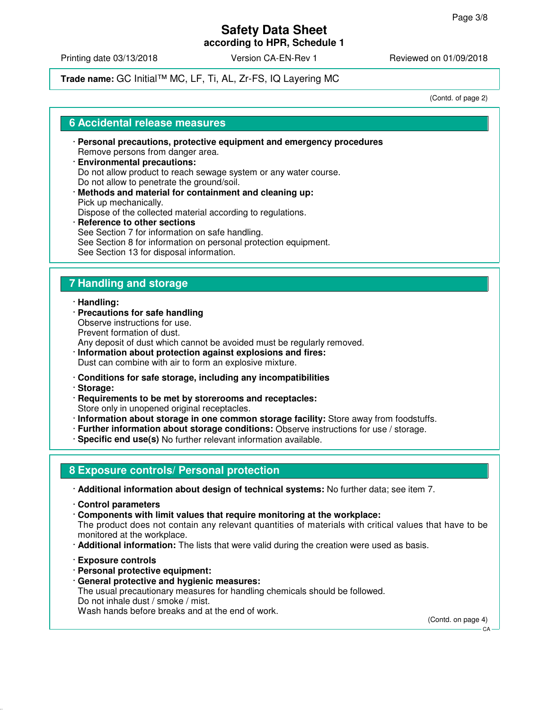Printing date 03/13/2018 Version CA-EN-Rev 1 Reviewed on 01/09/2018

## **Trade name:** GC Initial™ MC, LF, Ti, AL, Zr-FS, IQ Layering MC

(Contd. of page 2)

### **6 Accidental release measures**

- · **Personal precautions, protective equipment and emergency procedures** Remove persons from danger area.
- · **Environmental precautions:** Do not allow product to reach sewage system or any water course. Do not allow to penetrate the ground/soil.
- · **Methods and material for containment and cleaning up:** Pick up mechanically. Dispose of the collected material according to regulations.
- · **Reference to other sections** See Section 7 for information on safe handling. See Section 8 for information on personal protection equipment. See Section 13 for disposal information.

# **7 Handling and storage**

### · **Handling:**

- · **Precautions for safe handling** Observe instructions for use. Prevent formation of dust. Any deposit of dust which cannot be avoided must be regularly removed.
- · **Information about protection against explosions and fires:** Dust can combine with air to form an explosive mixture.
- · **Conditions for safe storage, including any incompatibilities**
- · **Storage:**
- · **Requirements to be met by storerooms and receptacles:** Store only in unopened original receptacles.
- · **Information about storage in one common storage facility:** Store away from foodstuffs.
- · **Further information about storage conditions:** Observe instructions for use / storage.
- · **Specific end use(s)** No further relevant information available.

# **8 Exposure controls/ Personal protection**

- · **Additional information about design of technical systems:** No further data; see item 7.
- · **Control parameters**
- · **Components with limit values that require monitoring at the workplace:**

The product does not contain any relevant quantities of materials with critical values that have to be monitored at the workplace.

- · **Additional information:** The lists that were valid during the creation were used as basis.
- · **Exposure controls**
- · **Personal protective equipment:**
- · **General protective and hygienic measures:**

The usual precautionary measures for handling chemicals should be followed. Do not inhale dust / smoke / mist.

Wash hands before breaks and at the end of work.

(Contd. on page 4)

CA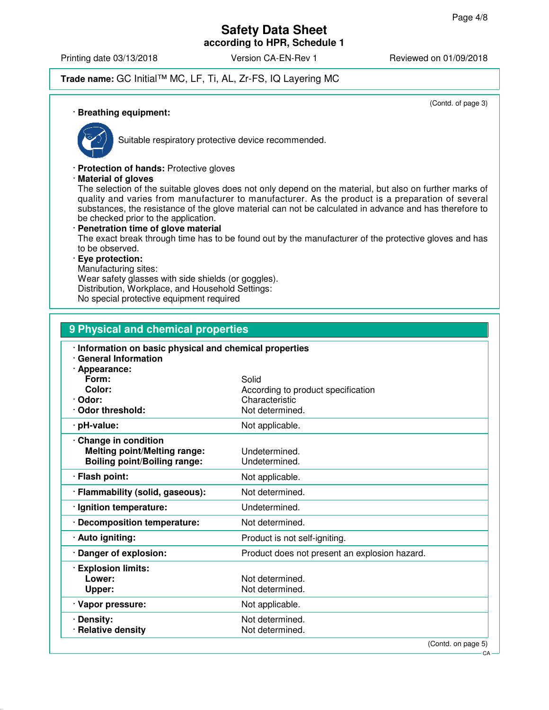Printing date 03/13/2018 **Version CA-EN-Rev 1** Reviewed on 01/09/2018

# **Trade name:** GC Initial™ MC, LF, Ti, AL, Zr-FS, IQ Layering MC

(Contd. of page 3)

#### · **Breathing equipment:**



Suitable respiratory protective device recommended.

· **Protection of hands:** Protective gloves

· **Material of gloves**

The selection of the suitable gloves does not only depend on the material, but also on further marks of quality and varies from manufacturer to manufacturer. As the product is a preparation of several substances, the resistance of the glove material can not be calculated in advance and has therefore to be checked prior to the application.

· **Penetration time of glove material** The exact break through time has to be found out by the manufacturer of the protective gloves and has to be observed. · **Eye protection:**

Manufacturing sites:

Wear safety glasses with side shields (or goggles). Distribution, Workplace, and Household Settings:

No special protective equipment required

| 9 Physical and chemical properties                                                                  |                                                                                  |  |  |  |
|-----------------------------------------------------------------------------------------------------|----------------------------------------------------------------------------------|--|--|--|
| · Information on basic physical and chemical properties<br><b>General Information</b>               |                                                                                  |  |  |  |
| Appearance:<br>Form:<br>Color:<br>· Odor:<br>Odor threshold:                                        | Solid<br>According to product specification<br>Characteristic<br>Not determined. |  |  |  |
| · pH-value:                                                                                         | Not applicable.                                                                  |  |  |  |
| · Change in condition<br><b>Melting point/Melting range:</b><br><b>Boiling point/Boiling range:</b> | Undetermined.<br>Undetermined.                                                   |  |  |  |
| · Flash point:                                                                                      | Not applicable.                                                                  |  |  |  |
| · Flammability (solid, gaseous):                                                                    | Not determined.                                                                  |  |  |  |
| · Ignition temperature:                                                                             | Undetermined.                                                                    |  |  |  |
| <b>Decomposition temperature:</b>                                                                   | Not determined.                                                                  |  |  |  |
| · Auto igniting:                                                                                    | Product is not self-igniting.                                                    |  |  |  |
| Danger of explosion:                                                                                | Product does not present an explosion hazard.                                    |  |  |  |
| <b>Explosion limits:</b><br>Lower:<br>Upper:                                                        | Not determined.<br>Not determined.                                               |  |  |  |
| · Vapor pressure:                                                                                   | Not applicable.                                                                  |  |  |  |
| · Density:<br><b>Relative density</b>                                                               | Not determined.<br>Not determined.                                               |  |  |  |

(Contd. on page 5)

CA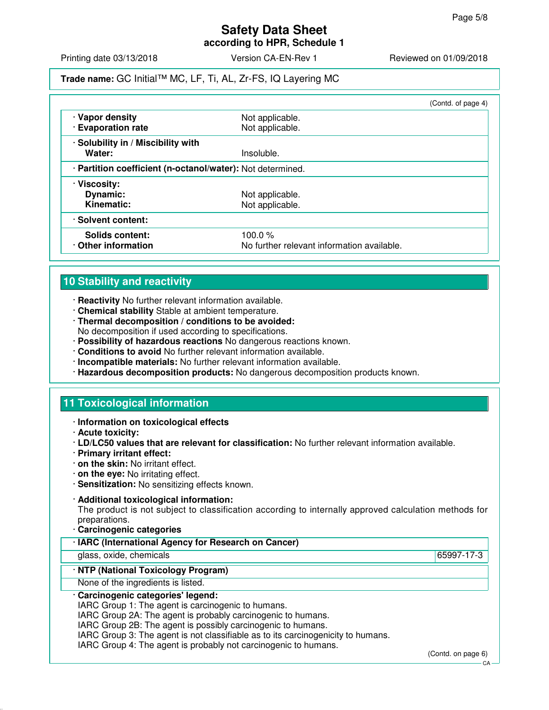# **Safety Data Sheet**

**according to HPR, Schedule 1**

Printing date 03/13/2018 **Version CA-EN-Rev 1** Reviewed on 01/09/2018

## **Trade name:** GC Initial™ MC, LF, Ti, AL, Zr-FS, IQ Layering MC

|                                                            |                                            | (Contd. of page 4) |
|------------------------------------------------------------|--------------------------------------------|--------------------|
| · Vapor density<br>· Evaporation rate                      | Not applicable.<br>Not applicable.         |                    |
| · Solubility in / Miscibility with                         |                                            |                    |
| Water:                                                     | Insoluble.                                 |                    |
| · Partition coefficient (n-octanol/water): Not determined. |                                            |                    |
| · Viscosity:                                               |                                            |                    |
| Dynamic:                                                   | Not applicable.                            |                    |
| Kinematic:                                                 | Not applicable.                            |                    |
| · Solvent content:                                         |                                            |                    |
| <b>Solids content:</b>                                     | 100.0 $%$                                  |                    |
| Other information                                          | No further relevant information available. |                    |

# **10 Stability and reactivity**

- · **Reactivity** No further relevant information available.
- · **Chemical stability** Stable at ambient temperature.
- · **Thermal decomposition / conditions to be avoided:** No decomposition if used according to specifications.
- · **Possibility of hazardous reactions** No dangerous reactions known.
- · **Conditions to avoid** No further relevant information available.
- · **Incompatible materials:** No further relevant information available.
- · **Hazardous decomposition products:** No dangerous decomposition products known.

# **11 Toxicological information**

- · **Information on toxicological effects**
- · **Acute toxicity:**
- · **LD/LC50 values that are relevant for classification:** No further relevant information available.
- · **Primary irritant effect:**
- · **on the skin:** No irritant effect.
- · **on the eye:** No irritating effect.
- · **Sensitization:** No sensitizing effects known.

### · **Additional toxicological information:**

The product is not subject to classification according to internally approved calculation methods for preparations.

· **Carcinogenic categories**

| · IARC (International Agency for Research on Cancer)                             |            |
|----------------------------------------------------------------------------------|------------|
| glass, oxide, chemicals                                                          | 65997-17-3 |
| · NTP (National Toxicology Program)                                              |            |
| None of the ingredients is listed.                                               |            |
| · Carcinogenic categories' legend:                                               |            |
| IARC Group 1: The agent is carcinogenic to humans.                               |            |
| IARC Group 2A: The agent is probably carcinogenic to humans.                     |            |
| IARC Group 2B: The agent is possibly carcinogenic to humans.                     |            |
| IARC Group 3: The agent is not classifiable as to its carcinogenicity to humans. |            |

IARC Group 4: The agent is probably not carcinogenic to humans.

(Contd. on page 6)

CA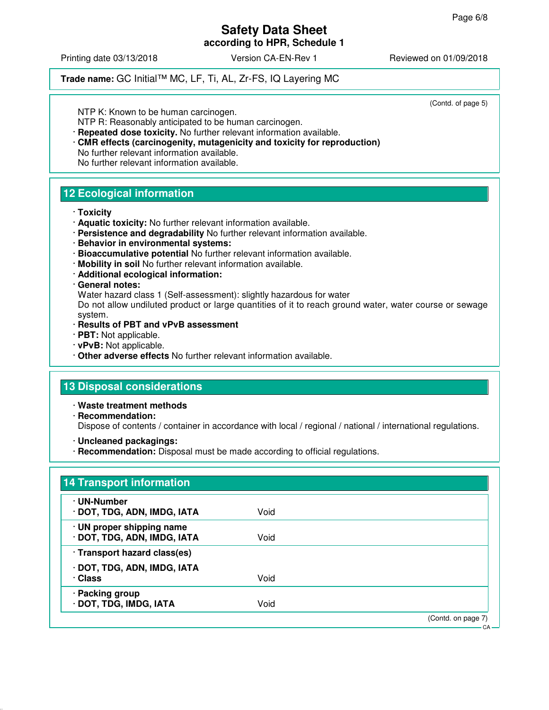Printing date 03/13/2018 **Version CA-EN-Rev 1** Reviewed on 01/09/2018

# **Trade name:** GC Initial™ MC, LF, Ti, AL, Zr-FS, IQ Layering MC

(Contd. of page 5)

NTP K: Known to be human carcinogen.

- NTP R: Reasonably anticipated to be human carcinogen.
- · **Repeated dose toxicity.** No further relevant information available. · **CMR effects (carcinogenity, mutagenicity and toxicity for reproduction)** No further relevant information available.

No further relevant information available.

# **12 Ecological information**

- · **Toxicity**
- · **Aquatic toxicity:** No further relevant information available.
- · **Persistence and degradability** No further relevant information available.
- · **Behavior in environmental systems:**
- · **Bioaccumulative potential** No further relevant information available.
- · **Mobility in soil** No further relevant information available.
- · **Additional ecological information:**

### · **General notes:**

Water hazard class 1 (Self-assessment): slightly hazardous for water

Do not allow undiluted product or large quantities of it to reach ground water, water course or sewage system.

### · **Results of PBT and vPvB assessment**

- · **PBT:** Not applicable.
- · **vPvB:** Not applicable.
- · **Other adverse effects** No further relevant information available.

# **13 Disposal considerations**

· **Waste treatment methods**

- · **Recommendation:** Dispose of contents / container in accordance with local / regional / national / international regulations.
- · **Uncleaned packagings:**
- · **Recommendation:** Disposal must be made according to official regulations.

| · UN-Number                  |      |  |
|------------------------------|------|--|
| · DOT, TDG, ADN, IMDG, IATA  | Void |  |
| · UN proper shipping name    |      |  |
| · DOT, TDG, ADN, IMDG, IATA  | Void |  |
| · Transport hazard class(es) |      |  |
| · DOT, TDG, ADN, IMDG, IATA  |      |  |
| · Class                      | Void |  |
| · Packing group              |      |  |
| · DOT, TDG, IMDG, IATA       | Void |  |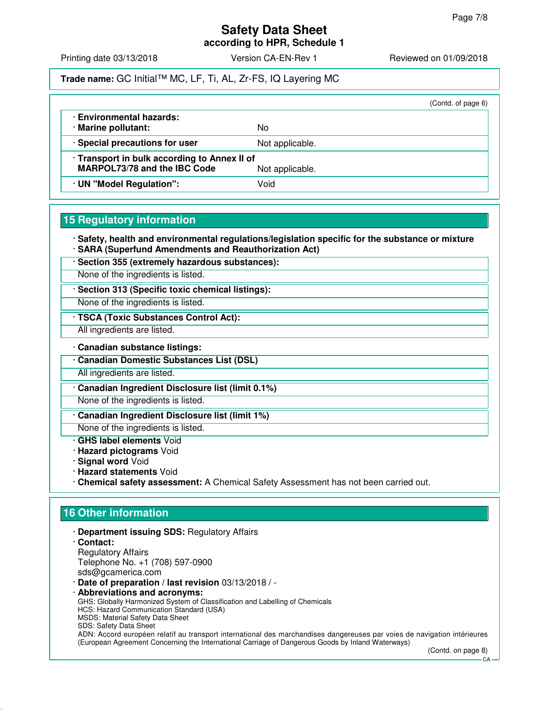# **Safety Data Sheet**

**according to HPR, Schedule 1**

Printing date 03/13/2018 **Version CA-EN-Rev 1** Reviewed on 01/09/2018

## **Trade name:** GC Initial™ MC, LF, Ti, AL, Zr-FS, IQ Layering MC

|                                                                                                        |                 | (Contd. of page 6) |
|--------------------------------------------------------------------------------------------------------|-----------------|--------------------|
| · Environmental hazards:<br>· Marine pollutant:                                                        | No              |                    |
| · Special precautions for user                                                                         | Not applicable. |                    |
| · Transport in bulk according to Annex II of<br><b>MARPOL73/78 and the IBC Code</b><br>Not applicable. |                 |                    |
| · UN "Model Regulation":                                                                               | Void            |                    |

# **15 Regulatory information**

· **Safety, health and environmental regulations/legislation specific for the substance or mixture** · **SARA (Superfund Amendments and Reauthorization Act)**

· **Section 355 (extremely hazardous substances):**

None of the ingredients is listed.

· **Section 313 (Specific toxic chemical listings):**

None of the ingredients is listed.

· **TSCA (Toxic Substances Control Act):**

All ingredients are listed.

· **Canadian substance listings:**

· **Canadian Domestic Substances List (DSL)**

All ingredients are listed.

· **Canadian Ingredient Disclosure list (limit 0.1%)**

None of the ingredients is listed.

· **Canadian Ingredient Disclosure list (limit 1%)**

None of the ingredients is listed.

- · **GHS label elements** Void
- · **Hazard pictograms** Void
- · **Signal word** Void
- · **Hazard statements** Void
- · **Chemical safety assessment:** A Chemical Safety Assessment has not been carried out.

# **16 Other information**

- · **Department issuing SDS:** Regulatory Affairs
- · **Contact:** Regulatory Affairs Telephone No. +1 (708) 597-0900 sds@gcamerica.com
- · **Date of preparation / last revision** 03/13/2018 / -
- · **Abbreviations and acronyms:** GHS: Globally Harmonized System of Classification and Labelling of Chemicals HCS: Hazard Communication Standard (USA) MSDS: Material Safety Data Sheet SDS: Safety Data Sheet ADN: Accord européen relatif au transport international des marchandises dangereuses par voies de navigation intérieures (European Agreement Concerning the International Carriage of Dangerous Goods by Inland Waterways)

(Contd. on page 8)

 $C.A$